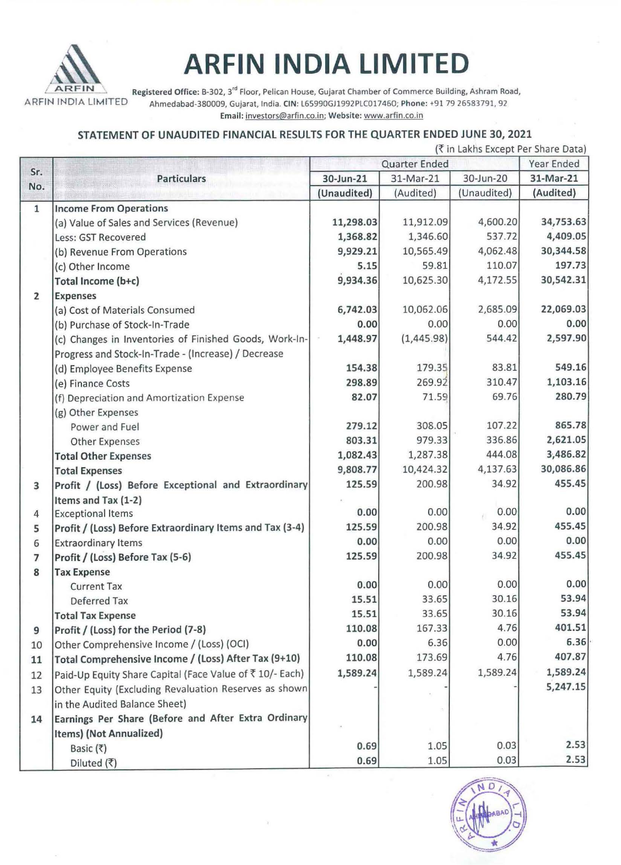

# **ARFIN INDIA LIMITED**

AR FIN Registered Office: B-302, 3<sup>rd</sup> Floor, Pelican House, Gujarat Chamber of Commerce Building, Ashram Road,<br>AR FIN INDIA LIMITED Ahmedabad-380009. Gujarat. India. CIN: L65990GJ1992PLC017460: Phone: +91 79 26583791. 92 Ahmedabad-380009, Gujarat, India. CIN: L65990GJ1992PLC017460; Phone: +91 79 26583791, 92 Email: investors@arfin.co.in; Website: www.arfin.co.in

## STATEMENT OF UNAUDITED FINANCIAL RESULTS FOR THE QUARTER ENDED JUNE 30, 2021

|  |  | (₹ in Lakhs Except Per Share Data) |  |  |
|--|--|------------------------------------|--|--|

|                |                                                          |                                                      | IN 111 LANIIS EXCEPT PEI SITATE DATAJ<br>Year Ended |             |           |
|----------------|----------------------------------------------------------|------------------------------------------------------|-----------------------------------------------------|-------------|-----------|
| Sr.            | <b>Particulars</b>                                       | Quarter Ended<br>31-Mar-21<br>30-Jun-20<br>30-Jun-21 |                                                     |             | 31-Mar-21 |
| No.            |                                                          | (Unaudited)                                          | (Audited)                                           | (Unaudited) | (Audited) |
| $\mathbf{1}$   | <b>Income From Operations</b>                            |                                                      |                                                     |             |           |
|                | (a) Value of Sales and Services (Revenue)                | 11,298.03                                            | 11,912.09                                           | 4,600.20    | 34,753.63 |
|                | Less: GST Recovered                                      | 1,368.82                                             | 1,346.60                                            | 537.72      | 4,409.05  |
|                |                                                          | 9,929.21                                             | 10,565.49                                           | 4,062.48    | 30,344.58 |
|                | (b) Revenue From Operations<br>(c) Other Income          | 5.15                                                 | 59.81                                               | 110.07      | 197.73    |
|                |                                                          | 9,934.36                                             | 10,625.30                                           | 4,172.55    | 30,542.31 |
|                | Total Income (b+c)                                       |                                                      |                                                     |             |           |
| $\overline{2}$ | <b>Expenses</b>                                          |                                                      | 10,062.06                                           | 2,685.09    | 22,069.03 |
|                | (a) Cost of Materials Consumed                           | 6,742.03                                             |                                                     | 0.00        | 0.00      |
|                | (b) Purchase of Stock-In-Trade                           | 0.00                                                 | 0.00                                                |             |           |
|                | (c) Changes in Inventories of Finished Goods, Work-In-   | 1,448.97                                             | (1,445.98)                                          | 544.42      | 2,597.90  |
|                | Progress and Stock-In-Trade - (Increase) / Decrease      |                                                      |                                                     |             |           |
|                | (d) Employee Benefits Expense                            | 154.38                                               | 179.35                                              | 83.81       | 549.16    |
|                | (e) Finance Costs                                        | 298.89                                               | 269.92                                              | 310.47      | 1,103.16  |
|                | (f) Depreciation and Amortization Expense                | 82.07                                                | 71.59                                               | 69.76       | 280.79    |
|                | (g) Other Expenses                                       |                                                      |                                                     |             |           |
|                | Power and Fuel                                           | 279.12                                               | 308.05                                              | 107.22      | 865.78    |
|                | <b>Other Expenses</b>                                    | 803.31                                               | 979.33                                              | 336.86      | 2,621.05  |
|                | <b>Total Other Expenses</b>                              | 1,082.43                                             | 1,287.38                                            | 444.08      | 3,486.82  |
|                | <b>Total Expenses</b>                                    | 9,808.77                                             | 10,424.32                                           | 4,137.63    | 30,086.86 |
| 3              | Profit / (Loss) Before Exceptional and Extraordinary     | 125.59                                               | 200.98                                              | 34.92       | 455.45    |
|                | Items and Tax (1-2)                                      |                                                      |                                                     |             |           |
| $\overline{4}$ | <b>Exceptional Items</b>                                 | 0.00                                                 | 0.00                                                | 0.00        | 0.00      |
| 5              | Profit / (Loss) Before Extraordinary Items and Tax (3-4) | 125.59                                               | 200.98                                              | 34.92       | 455.45    |
| 6              | <b>Extraordinary Items</b>                               | 0.00                                                 | 0.00                                                | 0.00        | 0.00      |
| $\overline{7}$ | Profit / (Loss) Before Tax (5-6)                         | 125.59                                               | 200.98                                              | 34.92       | 455.45    |
| 8              | <b>Tax Expense</b>                                       |                                                      |                                                     |             |           |
|                | <b>Current Tax</b>                                       | 0.00                                                 | 0.00                                                | 0.00        | 0.00      |
|                | Deferred Tax                                             | 15.51                                                | 33.65                                               | 30.16       | 53.94     |
|                | <b>Total Tax Expense</b>                                 | 15.51                                                | 33.65                                               | 30.16       | 53.94     |
| 9              | Profit / (Loss) for the Period (7-8)                     | 110.08                                               | 167.33                                              | 4.76        | 401.51    |
| 10             | Other Comprehensive Income / (Loss) (OCI)                | 0.00                                                 | 6.36                                                | 0.00        | 6.36      |
| 11             | Total Comprehensive Income / (Loss) After Tax (9+10)     | 110.08                                               | 173.69                                              | 4.76        | 407.87    |
| 12             | Paid-Up Equity Share Capital (Face Value of ₹10/- Each)  | 1,589.24                                             | 1,589.24                                            | 1,589.24    | 1,589.24  |
| 13             | Other Equity (Excluding Revaluation Reserves as shown    |                                                      |                                                     |             | 5,247.15  |
|                | in the Audited Balance Sheet)                            |                                                      |                                                     |             |           |
| 14             | Earnings Per Share (Before and After Extra Ordinary      |                                                      |                                                     |             |           |
|                | Items) (Not Annualized)                                  |                                                      |                                                     |             |           |
|                | Basic (₹)                                                | 0.69                                                 | 1.05                                                | 0.03        | 2.53      |
|                | Diluted (₹)                                              | 0.69                                                 | 1.05                                                | 0.03        | 2.53      |

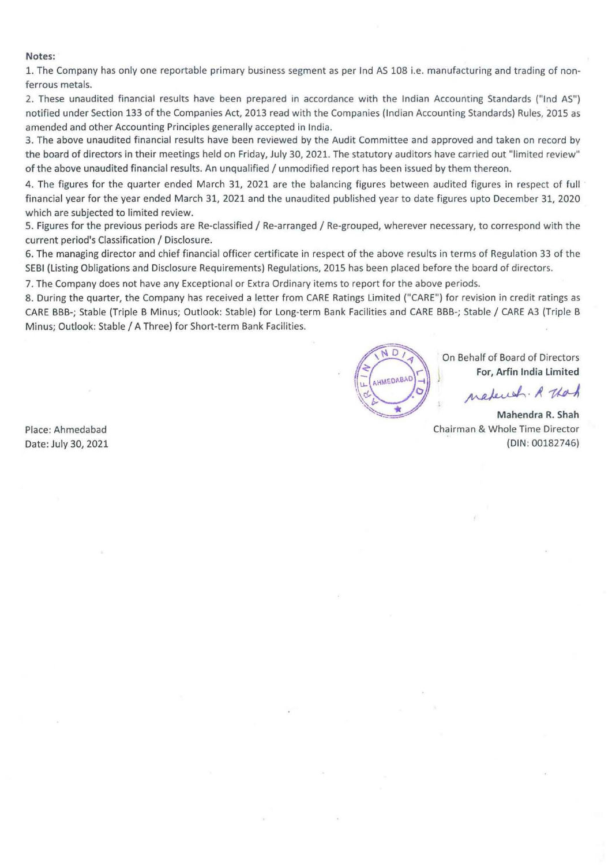#### Notes:

1. The Company has only one reportable primary business segment as per Ind AS 108 i.e. manufacturing and trading of nonferrous metals.

2. These unaudited financial results have been prepared in accordance with the Indian Accounting Standards ("Ind AS") notified under Section 133 of the Companies Act, 2013 read with the Companies {Indian Accounting Standards) Rules, 2015 as amended and other Accounting Principles generally accepted in India.

3. The above unaudited financial results have been reviewed by the Audit Committee and approved and taken on record by the board of directors in their meetings held on Friday, July 30, 2021. The statutory auditors have carried out "limited review" of the above unaudited financial results. An unqualified/ unmodified report has been issued by them thereon.

4. The figures for the quarter ended March 31, 2021 are the balancing figures between audited figures in respect of full financial year for the year ended March 31, 2021 and the unaudited published year to date figures upto December 31, 2020 which are subjected to limited review.

5. Figures for the previous periods are Re-classified / Re-arranged / Re-grouped, wherever necessary, to correspond with the current period's Classification / Disclosure.

6. The managing director and chief financial officer certificate in respect of the above results in terms of Regulation 33 of the SEBI (Listing Obligations and Disclosure Requirements) Regulations, 2015 has been placed before the board of directors.

7. The Company does not have any Exceptional or Extra Ordinary items to report for the above periods.

8. During the quarter, the Company has received a letter from CARE Ratings Limited ("CARE") for revision in credit ratings as CARE BBB-; Stable (Triple B Minus; Outlook: Stable) for Long-term Bank Facilities and CARE BBB-; Stable/ CARE A3 (Triple B Minus; Outlook: Stable/ A Three) for Short-term Bank Facilities.



On Behalf of Board of Directors For, Arfin India Limited

natured. R That

Mahendra R. Shah Chairman & Whole Time Director (DIN: 00182746)

Place: Ahmedabad Date: July 30, 2021